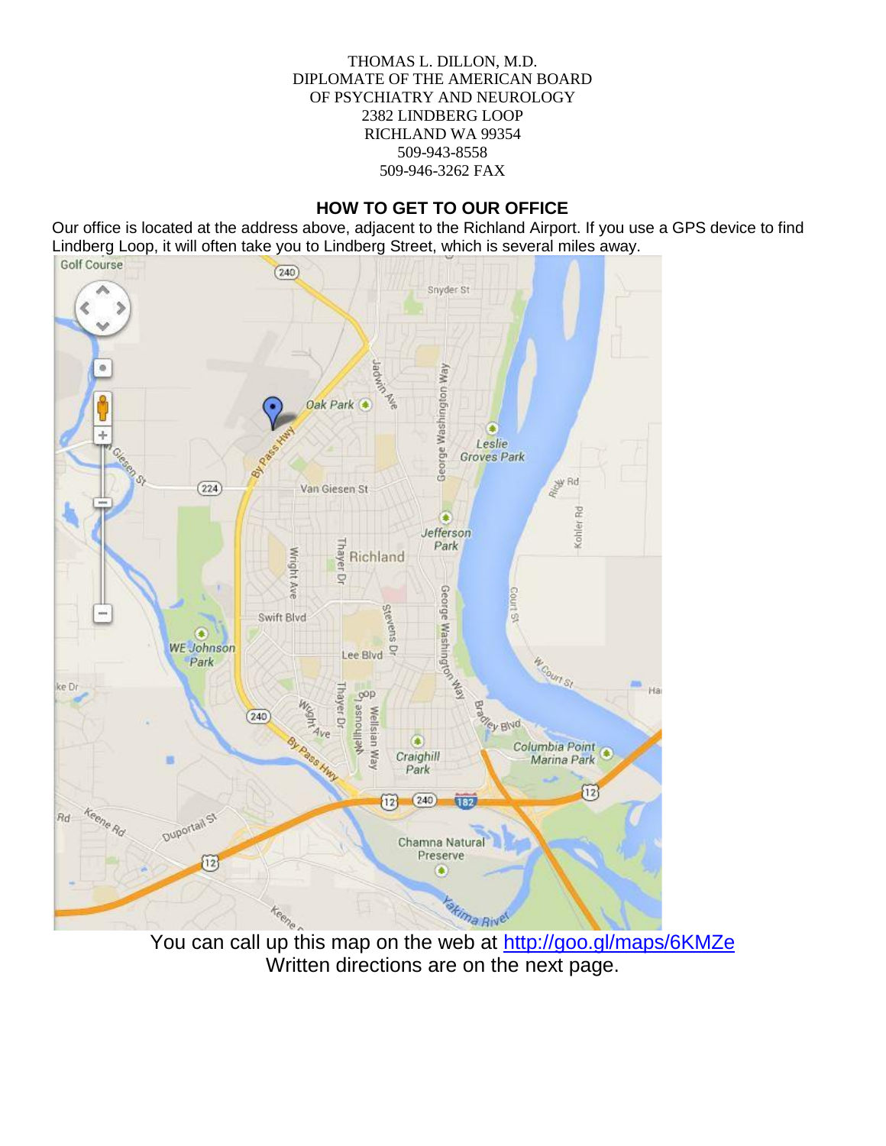#### THOMAS L. DILLON, M.D. DIPLOMATE OF THE AMERICAN BOARD OF PSYCHIATRY AND NEUROLOGY 2382 LINDBERG LOOP RICHLAND WA 99354 509-943-8558 509-946-3262 FAX

### **HOW TO GET TO OUR OFFICE**

Our office is located at the address above, adjacent to the Richland Airport. If you use a GPS device to find Lindberg Loop, it will often take you to Lindberg Street, which is several miles away.<br>
Golf Course



You can call up this map on the web at http://goo.gl/maps/6KMZe Written directions are on the next page.